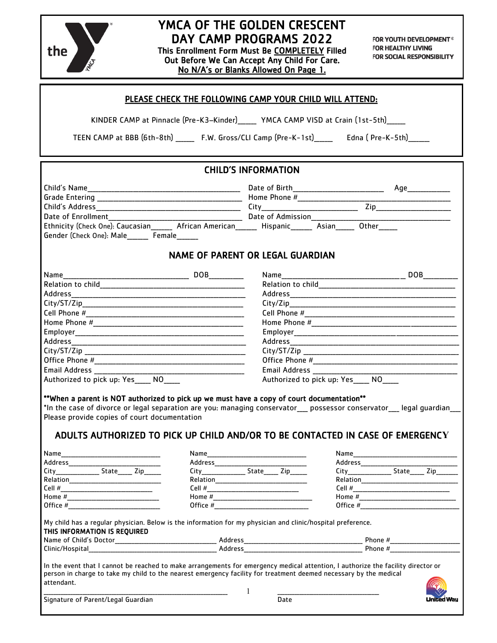

# YMCA OF THE GOLDEN CRESCENT DAY CAMP PROGRAMS 2022

This Enrollment Form Must Be COMPLETELY Filled Out Before We Can Accept Any Child For Care. No N/A's or Blanks Allowed On Page 1.

FOR YOUTH DEVELOPMENT<sup>®</sup> FOR HEALTHY LIVING FOR SOCIAL RESPONSIBILITY

|                                                                                                                                                                                                                                                                          | PLEASE CHECK THE FOLLOWING CAMP YOUR CHILD WILL ATTEND:                                                                                                                                                |  |  |
|--------------------------------------------------------------------------------------------------------------------------------------------------------------------------------------------------------------------------------------------------------------------------|--------------------------------------------------------------------------------------------------------------------------------------------------------------------------------------------------------|--|--|
| KINDER CAMP at Pinnacle (Pre-K3-Kinder) _____ YMCA CAMP VISD at Crain (1st-5th)_____                                                                                                                                                                                     |                                                                                                                                                                                                        |  |  |
|                                                                                                                                                                                                                                                                          | TEEN CAMP at BBB (6th-8th) F.W. Gross/CLI Camp (Pre-K-1st) Edna (Pre-K-5th)                                                                                                                            |  |  |
|                                                                                                                                                                                                                                                                          |                                                                                                                                                                                                        |  |  |
|                                                                                                                                                                                                                                                                          | <b>CHILD'S INFORMATION</b>                                                                                                                                                                             |  |  |
|                                                                                                                                                                                                                                                                          |                                                                                                                                                                                                        |  |  |
|                                                                                                                                                                                                                                                                          |                                                                                                                                                                                                        |  |  |
|                                                                                                                                                                                                                                                                          |                                                                                                                                                                                                        |  |  |
|                                                                                                                                                                                                                                                                          |                                                                                                                                                                                                        |  |  |
| Ethnicity (Check One): Caucasian________ African American_______ Hispanic_______ Asian______ Other______                                                                                                                                                                 |                                                                                                                                                                                                        |  |  |
| Gender (Check One): Male Female                                                                                                                                                                                                                                          |                                                                                                                                                                                                        |  |  |
|                                                                                                                                                                                                                                                                          | <b>NAME OF PARENT OR LEGAL GUARDIAN</b>                                                                                                                                                                |  |  |
|                                                                                                                                                                                                                                                                          |                                                                                                                                                                                                        |  |  |
|                                                                                                                                                                                                                                                                          |                                                                                                                                                                                                        |  |  |
|                                                                                                                                                                                                                                                                          |                                                                                                                                                                                                        |  |  |
|                                                                                                                                                                                                                                                                          | City/Zip                                                                                                                                                                                               |  |  |
|                                                                                                                                                                                                                                                                          |                                                                                                                                                                                                        |  |  |
|                                                                                                                                                                                                                                                                          |                                                                                                                                                                                                        |  |  |
|                                                                                                                                                                                                                                                                          |                                                                                                                                                                                                        |  |  |
|                                                                                                                                                                                                                                                                          |                                                                                                                                                                                                        |  |  |
|                                                                                                                                                                                                                                                                          |                                                                                                                                                                                                        |  |  |
|                                                                                                                                                                                                                                                                          |                                                                                                                                                                                                        |  |  |
| Email Address ________________                                                                                                                                                                                                                                           | Email Address ______________                                                                                                                                                                           |  |  |
|                                                                                                                                                                                                                                                                          | Authorized to pick up: Yes____ NO____                                                                                                                                                                  |  |  |
| **When a parent is NOT authorized to pick up we must have a copy of court documentation**<br>Please provide copies of court documentation                                                                                                                                | *In the case of divorce or legal separation are you: managing conservator___ possessor conservator___ legal guardian<br>ADULTS AUTHORIZED TO PICK UP CHILD AND/OR TO BE CONTACTED IN CASE OF EMERGENCY |  |  |
|                                                                                                                                                                                                                                                                          |                                                                                                                                                                                                        |  |  |
|                                                                                                                                                                                                                                                                          |                                                                                                                                                                                                        |  |  |
| City__________________State______Zip_______                                                                                                                                                                                                                              | City___________________State_______ Zip________                                                                                                                                                        |  |  |
|                                                                                                                                                                                                                                                                          |                                                                                                                                                                                                        |  |  |
|                                                                                                                                                                                                                                                                          |                                                                                                                                                                                                        |  |  |
|                                                                                                                                                                                                                                                                          |                                                                                                                                                                                                        |  |  |
|                                                                                                                                                                                                                                                                          |                                                                                                                                                                                                        |  |  |
| My child has a regular physician. Below is the information for my physician and clinic/hospital preference.                                                                                                                                                              |                                                                                                                                                                                                        |  |  |
| THIS INFORMATION IS REQUIRED                                                                                                                                                                                                                                             |                                                                                                                                                                                                        |  |  |
|                                                                                                                                                                                                                                                                          |                                                                                                                                                                                                        |  |  |
| In the event that I cannot be reached to make arrangements for emergency medical attention, I authorize the facility director or<br>person in charge to take my child to the nearest emergency facility for treatment deemed necessary by the medical<br>attendant.<br>1 |                                                                                                                                                                                                        |  |  |
| Signature of Parent/Legal Guardian                                                                                                                                                                                                                                       | Date                                                                                                                                                                                                   |  |  |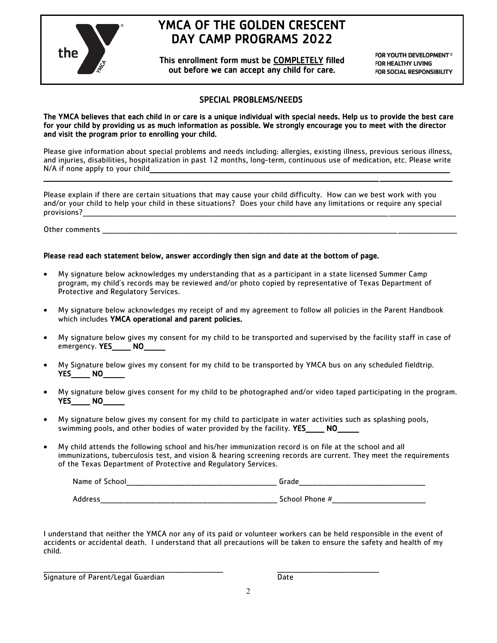

## YMCA OF THE GOLDEN CRESCENT DAY CAMP PROGRAMS 2022

This enrollment form must be COMPLETELY filled out before we can accept any child for care.

FOR YOUTH DEVELOPMENT® **FOR HEALTHY LIVING FOR SOCIAL RESPONSIBILITY** 

### SPECIAL PROBLEMS/NEEDS

The YMCA believes that each child in or care is a unique individual with special needs. Help us to provide the best care for your child by providing us as much information as possible. We strongly encourage you to meet with the director and visit the program prior to enrolling your child.

Please give information about special problems and needs including: allergies, existing illness, previous serious illness, and injuries, disabilities, hospitalization in past 12 months, long-term, continuous use of medication, etc. Please write N/A if none apply to your child

 $\_$  ,  $\_$  ,  $\_$  ,  $\_$  ,  $\_$  ,  $\_$  ,  $\_$  ,  $\_$  ,  $\_$  ,  $\_$  ,  $\_$  ,  $\_$  ,  $\_$  ,  $\_$  ,  $\_$  ,  $\_$  ,  $\_$  ,  $\_$  ,  $\_$  ,  $\_$  ,  $\_$  ,  $\_$  ,  $\_$  ,  $\_$  ,  $\_$  ,  $\_$  ,  $\_$  ,  $\_$  ,  $\_$  ,  $\_$  ,  $\_$  ,  $\_$  ,  $\_$  ,  $\_$  ,  $\_$  ,  $\_$  ,  $\_$  ,

Please explain if there are certain situations that may cause your child difficulty. How can we best work with you and/or your child to help your child in these situations? Does your child have any limitations or require any special provisions?\_\_\_\_\_\_\_\_\_\_\_\_\_\_\_\_\_\_\_\_\_\_\_\_\_\_\_\_\_\_\_\_\_\_\_\_\_\_\_\_\_\_\_\_\_\_\_\_\_\_\_\_\_\_\_\_\_\_\_\_\_\_\_\_\_\_\_\_\_\_\_\_\_\_\_\_\_\_\_\_\_\_\_\_\_\_\_\_\_\_\_\_\_\_\_\_\_\_\_\_\_\_\_\_\_\_\_\_\_\_\_\_\_\_\_\_\_\_\_\_\_\_\_\_\_\_\_\_\_\_\_\_\_\_\_\_\_\_\_

Other comments

#### Please read each statement below, answer accordingly then sign and date at the bottom of page.

- My signature below acknowledges my understanding that as a participant in a state licensed Summer Camp program, my child's records may be reviewed and/or photo copied by representative of Texas Department of Protective and Regulatory Services.
- My signature below acknowledges my receipt of and my agreement to follow all policies in the Parent Handbook which includes YMCA operational and parent policies.
- My signature below gives my consent for my child to be transported and supervised by the facility staff in case of emergency. YES<sup>NO</sup>
- My Signature below gives my consent for my child to be transported by YMCA bus on any scheduled fieldtrip. YES\_\_\_\_\_\_\_ NO\_\_\_\_\_\_\_\_
- My signature below gives consent for my child to be photographed and/or video taped participating in the program. YES\_\_\_\_\_ NO
- My signature below gives my consent for my child to participate in water activities such as splashing pools, swimming pools, and other bodies of water provided by the facility. YES NO
- My child attends the following school and his/her immunization record is on file at the school and all immunizations, tuberculosis test, and vision & hearing screening records are current. They meet the requirements of the Texas Department of Protective and Regulatory Services.

| Name of School    | -rada          |
|-------------------|----------------|
| __________        | __________     |
| _________________ |                |
|                   |                |
| Address           | School Phone # |
| __________        | ___________    |
| _____             | ____________   |

I understand that neither the YMCA nor any of its paid or volunteer workers can be held responsible in the event of accidents or accidental death. I understand that all precautions will be taken to ensure the safety and health of my child.

Signature of Parent/Legal Guardian Date

\_\_\_\_\_\_\_\_\_\_\_\_\_\_\_\_\_\_\_\_\_\_\_\_\_\_\_\_\_\_\_\_\_\_\_\_\_\_\_\_\_\_\_\_\_\_\_\_\_\_\_\_\_\_\_\_\_\_\_\_\_\_\_\_\_\_\_ \_\_\_\_\_\_\_\_\_\_\_\_\_\_\_\_\_\_\_\_\_\_\_\_\_\_\_\_\_\_\_\_\_\_\_\_\_\_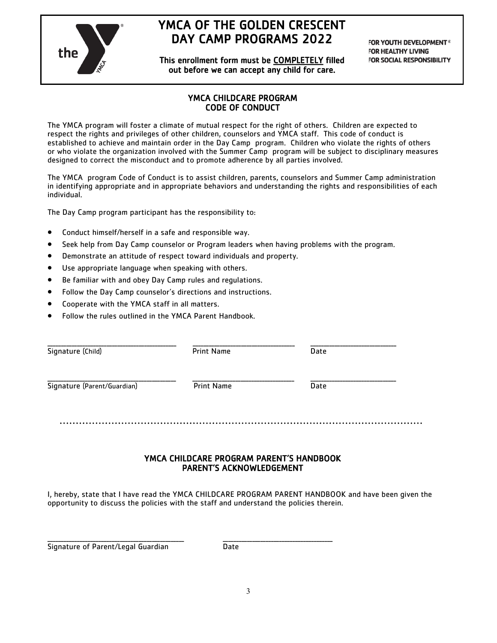

## YMCA OF THE GOLDEN CRESCENT DAY CAMP PROGRAMS 2022

This enrollment form must be COMPLETELY filled out before we can accept any child for care.

FOR YOUTH DEVELOPMENT<sup>®</sup> **FOR HEALTHY LIVING FOR SOCIAL RESPONSIBILITY** 

### YMCA CHILDCARE PROGRAM CODE OF CONDUCT

The YMCA program will foster a climate of mutual respect for the right of others. Children are expected to respect the rights and privileges of other children, counselors and YMCA staff. This code of conduct is established to achieve and maintain order in the Day Camp program. Children who violate the rights of others or who violate the organization involved with the Summer Camp program will be subject to disciplinary measures designed to correct the misconduct and to promote adherence by all parties involved.

The YMCA program Code of Conduct is to assist children, parents, counselors and Summer Camp administration in identifying appropriate and in appropriate behaviors and understanding the rights and responsibilities of each individual.

The Day Camp program participant has the responsibility to:

- Conduct himself/herself in a safe and responsible way.
- Seek help from Day Camp counselor or Program leaders when having problems with the program.
- Demonstrate an attitude of respect toward individuals and property.
- Use appropriate language when speaking with others.
- Be familiar with and obey Day Camp rules and regulations.
- Follow the Day Camp counselor's directions and instructions.
- Cooperate with the YMCA staff in all matters.
- Follow the rules outlined in the YMCA Parent Handbook.

| Signature (Child)           | <b>Print Name</b> | Date |  |
|-----------------------------|-------------------|------|--|
| Signature (Parent/Guardian) | <b>Print Name</b> | Date |  |
|                             |                   |      |  |
|                             |                   |      |  |

#### YMCA CHILDCARE PROGRAM PARENT'S HANDBOOK PARENT'S ACKNOWLEDGEMENT

I, hereby, state that I have read the YMCA CHILDCARE PROGRAM PARENT HANDBOOK and have been given the opportunity to discuss the policies with the staff and understand the policies therein.

Signature of Parent/Legal Guardian Date

\_\_\_\_\_\_\_\_\_\_\_\_\_\_\_\_\_\_\_\_\_\_\_\_\_\_\_\_\_\_\_\_\_\_\_\_\_\_\_\_\_\_\_\_\_\_\_\_\_\_\_ \_\_\_\_\_\_\_\_\_\_\_\_\_\_\_\_\_\_\_\_\_\_\_\_\_\_\_\_\_\_\_\_\_\_\_\_\_\_\_\_\_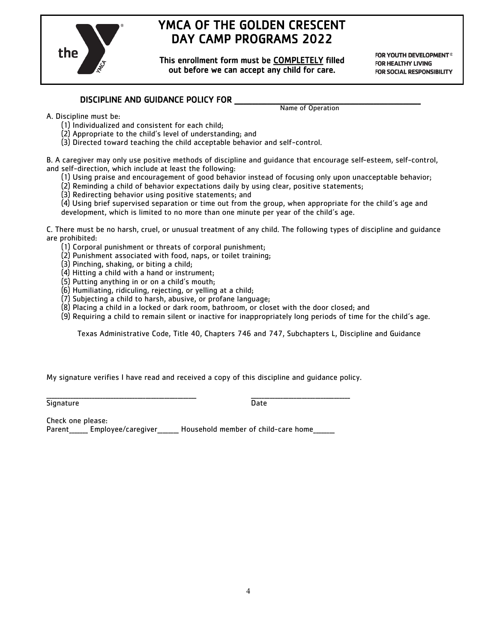

## YMCA OF THE GOLDEN CRESCENT DAY CAMP PROGRAMS 2022

This enrollment form must be COMPLETELY filled out before we can accept any child for care.

FOR YOUTH DEVELOPMENT<sup>®</sup> **FOR HEALTHY LIVING FOR SOCIAL RESPONSIBILITY** 

### DISCIPLINE AND GUIDANCE POLICY FOR

Name of Operation

- A. Discipline must be:
	- (1) Individualized and consistent for each child;
	- (2) Appropriate to the child's level of understanding; and
	- (3) Directed toward teaching the child acceptable behavior and self-control.

B. A caregiver may only use positive methods of discipline and guidance that encourage self-esteem, self-control, and self-direction, which include at least the following:

- (1) Using praise and encouragement of good behavior instead of focusing only upon unacceptable behavior;
- (2) Reminding a child of behavior expectations daily by using clear, positive statements;
- (3) Redirecting behavior using positive statements; and
- (4) Using brief supervised separation or time out from the group, when appropriate for the child's age and development, which is limited to no more than one minute per year of the child's age.

C. There must be no harsh, cruel, or unusual treatment of any child. The following types of discipline and guidance are prohibited:

- (1) Corporal punishment or threats of corporal punishment;
- (2) Punishment associated with food, naps, or toilet training;
- (3) Pinching, shaking, or biting a child;
- (4) Hitting a child with a hand or instrument;
- (5) Putting anything in or on a child's mouth;
- (6) Humiliating, ridiculing, rejecting, or yelling at a child;
- (7) Subjecting a child to harsh, abusive, or profane language;
- (8) Placing a child in a locked or dark room, bathroom, or closet with the door closed; and
- (9) Requiring a child to remain silent or inactive for inappropriately long periods of time for the child's age.

Texas Administrative Code, Title 40, Chapters 746 and 747, Subchapters L, Discipline and Guidance

My signature verifies I have read and received a copy of this discipline and guidance policy.

<u>Signature 2008 - Capital Signature Date</u>

\_\_\_\_\_\_\_\_\_\_\_\_\_\_\_\_\_\_\_\_\_\_\_\_\_\_\_\_\_\_\_\_\_\_\_\_\_\_\_\_\_\_\_\_\_\_\_\_\_\_\_\_\_\_\_\_ \_\_\_\_\_\_\_\_\_\_\_\_\_\_\_\_\_\_\_\_\_\_\_\_\_\_\_\_\_\_\_\_\_\_\_\_\_

Check one please:

Parent comployee/caregiver Household member of child-care home